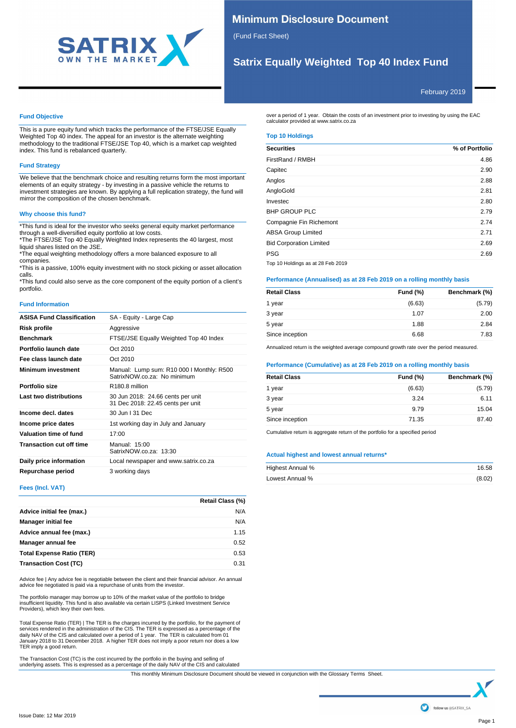

# **Minimum Disclosure Document**

(Fund Fact Sheet)

# **Satrix Equally Weighted Top 40 Index Fund**

February 2019

# **Fund Objective**

This is a pure equity fund which tracks the performance of the FTSE/JSE Equally Weighted Top 40 index. The appeal for an investor is the alternate weighting methodology to the traditional FTSE/JSE Top 40, which is a market cap weighted index. This fund is rebalanced quarterly.

# **Fund Strategy**

We believe that the benchmark choice and resulting returns form the most important elements of an equity strategy - by investing in a passive vehicle the returns to investment strategies are known. By applying a full replication strategy, the fund will mirror the composition of the chosen benchmark.

# **Why choose this fund?**

\*This fund is ideal for the investor who seeks general equity market performance through a well-diversified equity portfolio at low costs.

\*The FTSE/JSE Top 40 Equally Weighted Index represents the 40 largest, most liquid shares listed on the JSE.

\*The equal weighting methodology offers a more balanced exposure to all companies.

\*This is a passive, 100% equity investment with no stock picking or asset allocation calls.

\*This fund could also serve as the core component of the equity portion of a client's portfolio.

### **Fund Information**

| <b>ASISA Fund Classification</b> | SA - Equity - Large Cap                                                  |
|----------------------------------|--------------------------------------------------------------------------|
| Risk profile                     | Aggressive                                                               |
| <b>Benchmark</b>                 | FTSE/JSE Equally Weighted Top 40 Index                                   |
| Portfolio launch date            | Oct 2010                                                                 |
| Fee class launch date            | Oct 2010                                                                 |
| <b>Minimum investment</b>        | Manual: Lump sum: R10 000 I Monthly: R500<br>SatrixNOW.co.za: No minimum |
| Portfolio size                   | R <sub>180.8</sub> million                                               |
| Last two distributions           | 30 Jun 2018: 24.66 cents per unit<br>31 Dec 2018: 22.45 cents per unit   |
| Income decl. dates               | 30 Jun   31 Dec                                                          |
| Income price dates               | 1st working day in July and January                                      |
| Valuation time of fund           | 17:00                                                                    |
| <b>Transaction cut off time</b>  | Manual: 15:00<br>SatrixNOW.co.za: 13:30                                  |
| Daily price information          | Local newspaper and www.satrix.co.za                                     |
| Repurchase period                | 3 working days                                                           |

## **Fees (Incl. VAT)**

|                                  | Retail Class (%) |
|----------------------------------|------------------|
| Advice initial fee (max.)        | N/A              |
| <b>Manager initial fee</b>       | N/A              |
| Advice annual fee (max.)         | 1.15             |
| Manager annual fee               | 0.52             |
| <b>Total Expense Ratio (TER)</b> | 0.53             |
| <b>Transaction Cost (TC)</b>     | 0.31             |

Advice fee | Any advice fee is negotiable between the client and their financial advisor. An annual advice fee negotiated is paid via a repurchase of units from the investor.

The portfolio manager may borrow up to 10% of the market value of the portfolio to bridge insufficient liquidity. This fund is also available via certain LISPS (Linked Investment Service Providers), which levy their own fees.

Total Expense Ratio (TER) | The TER is the charges incurred by the portfolio, for the payment of<br>services rendered in the administration of the CIS. The TER is expressed as a percentage of the<br>daily NAV of the CIS and calc TER imply a good return.

The Transaction Cost (TC) is the cost incurred by the portfolio in the buying and selling of underlying assets. This is expressed as a percentage of the daily NAV of the CIS and calculated

over a period of 1 year. Obtain the costs of an investment prior to investing by using the EAC calculator provided at www.satrix.co.za

## **Top 10 Holdings**

| <b>Securities</b>                 | % of Portfolio |
|-----------------------------------|----------------|
| FirstRand / RMBH                  | 4.86           |
| Capitec                           | 2.90           |
| Anglos                            | 2.88           |
| AngloGold                         | 2.81           |
| Investec                          | 2.80           |
| <b>BHP GROUP PLC</b>              | 2.79           |
| Compagnie Fin Richemont           | 2.74           |
| <b>ABSA Group Limited</b>         | 2.71           |
| <b>Bid Corporation Limited</b>    | 2.69           |
| <b>PSG</b>                        | 2.69           |
| Top 10 Holdings as at 28 Feb 2019 |                |

## **Performance (Annualised) as at 28 Feb 2019 on a rolling monthly basis**

| <b>Retail Class</b> | <b>Fund (%)</b> | Benchmark (%) |
|---------------------|-----------------|---------------|
| 1 year              | (6.63)          | (5.79)        |
| 3 year              | 1.07            | 2.00          |
| 5 year              | 1.88            | 2.84          |
| Since inception     | 6.68            | 7.83          |

Annualized return is the weighted average compound growth rate over the period measured.

## **Performance (Cumulative) as at 28 Feb 2019 on a rolling monthly basis**

| <b>Retail Class</b> | <b>Fund (%)</b> | Benchmark (%) |
|---------------------|-----------------|---------------|
| 1 year              | (6.63)          | (5.79)        |
| 3 year              | 3.24            | 6.11          |
| 5 year              | 9.79            | 15.04         |
| Since inception     | 71.35           | 87.40         |

Cumulative return is aggregate return of the portfolio for a specified period

### **Actual highest and lowest annual returns\***

| Highest Annual % | 16.58  |
|------------------|--------|
| Lowest Annual %  | (8.02) |

This monthly Minimum Disclosure Document should be viewed in conjunction with the Glossary Terms Sheet.

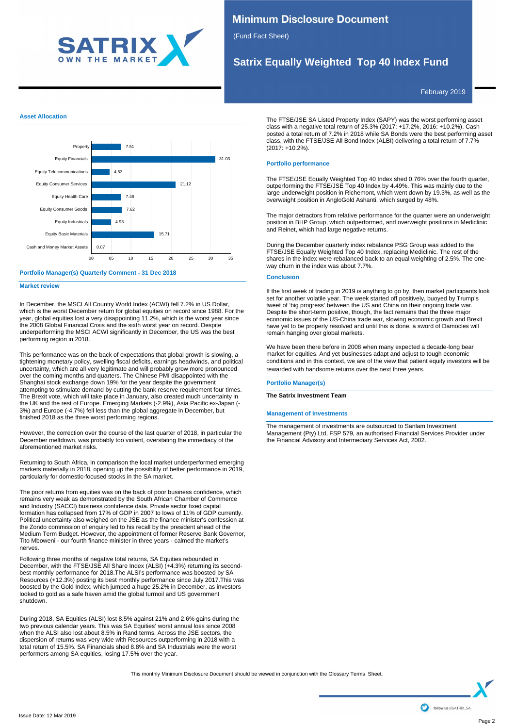

# **Minimum Disclosure Document**

(Fund Fact Sheet)

# **Satrix Equally Weighted Top 40 Index Fund**

February 2019

## **Asset Allocation**



### **Portfolio Manager(s) Quarterly Comment - 31 Dec 2018**

**Market review**

In December, the MSCI All Country World Index (ACWI) fell 7.2% in US Dollar, which is the worst December return for global equities on record since 1988. For the year, global equities lost a very disappointing 11.2%, which is the worst year since the 2008 Global Financial Crisis and the sixth worst year on record. Despite underperforming the MSCI ACWI significantly in December, the US was the best performing region in 2018.

This performance was on the back of expectations that global growth is slowing, a tightening monetary policy, swelling fiscal deficits, earnings headwinds, and political uncertainty, which are all very legitimate and will probably grow more pronounced over the coming months and quarters. The Chinese PMI disappointed with the Shanghai stock exchange down 19% for the year despite the government attempting to stimulate demand by cutting the bank reserve requirement four times. The Brexit vote, which will take place in January, also created much uncertainty in the UK and the rest of Europe. Emerging Markets (-2.9%), Asia Pacific ex-Japan (- 3%) and Europe (-4.7%) fell less than the global aggregate in December, but finished 2018 as the three worst performing regions.

However, the correction over the course of the last quarter of 2018, in particular the December meltdown, was probably too violent, overstating the immediacy of the aforementioned market risks.

Returning to South Africa, in comparison the local market underperformed emerging markets materially in 2018, opening up the possibility of better performance in 2019, particularly for domestic-focused stocks in the SA market.

The poor returns from equities was on the back of poor business confidence, which remains very weak as demonstrated by the South African Chamber of Commerce and Industry (SACCI) business confidence data. Private sector fixed capital formation has collapsed from 17% of GDP in 2007 to lows of 11% of GDP currently. Political uncertainty also weighed on the JSE as the finance minister's confession at the Zondo commission of enquiry led to his recall by the president ahead of the Medium Term Budget. However, the appointment of former Reserve Bank Governor, Tito Mboweni - our fourth finance minister in three years - calmed the market's nerves.

Following three months of negative total returns, SA Equities rebounded in December, with the FTSE/JSE All Share Index (ALSI) (+4.3%) returning its secondbest monthly performance for 2018.The ALSI's performance was boosted by SA Resources (+12.3%) posting its best monthly performance since July 2017.This was boosted by the Gold Index, which jumped a huge 25.2% in December, as investors looked to gold as a safe haven amid the global turmoil and US government shutdown.

During 2018, SA Equities (ALSI) lost 8.5% against 21% and 2.6% gains during the two previous calendar years. This was SA Equities' worst annual loss since 2008 when the ALSI also lost about 8.5% in Rand terms. Across the JSE sectors, the dispersion of returns was very wide with Resources outperforming in 2018 with a total return of 15.5%. SA Financials shed 8.8% and SA Industrials were the worst performers among SA equities, losing 17.5% over the year.

The FTSE/JSE SA Listed Property Index (SAPY) was the worst performing asset class with a negative total return of 25.3% (2017: +17.2%, 2016: +10.2%). Cash posted a total return of 7.2% in 2018 while SA Bonds were the best performing asset class, with the FTSE/JSE All Bond Index (ALBI) delivering a total return of 7.7% (2017: +10.2%).

## **Portfolio performance**

The FTSE/JSE Equally Weighted Top 40 Index shed 0.76% over the fourth quarter, outperforming the FTSE/JSE Top 40 Index by 4.49%. This was mainly due to the large underweight position in Richemont, which went down by 19.3%, as well as the overweight position in AngloGold Ashanti, which surged by 48%.

The major detractors from relative performance for the quarter were an underweight position in BHP Group, which outperformed, and overweight positions in Mediclinic and Reinet, which had large negative returns.

During the December quarterly index rebalance PSG Group was added to the FTSE/JSE Equally Weighted Top 40 Index, replacing Mediclinic. The rest of the shares in the index were rebalanced back to an equal weighting of 2.5%. The oneway churn in the index was about 7.7%.

# **Conclusion**

If the first week of trading in 2019 is anything to go by, then market participants look set for another volatile year. The week started off positively, buoyed by Trump's tweet of 'big progress' between the US and China on their ongoing trade war. Despite the short-term positive, though, the fact remains that the three major economic issues of the US-China trade war, slowing economic growth and Brexit have yet to be properly resolved and until this is done, a sword of Damocles will remain hanging over global markets.

We have been there before in 2008 when many expected a decade-long bear market for equities. And yet businesses adapt and adjust to tough economic conditions and in this context, we are of the view that patient equity investors will be rewarded with handsome returns over the next three years.

## **Portfolio Manager(s)**

**The Satrix Investment Team**

### **Management of Investments**

The management of investments are outsourced to Sanlam Investment Management (Pty) Ltd, FSP 579, an authorised Financial Services Provider under the Financial Advisory and Intermediary Services Act, 2002.

This monthly Minimum Disclosure Document should be viewed in conjunction with the Glossary Terms Sheet.